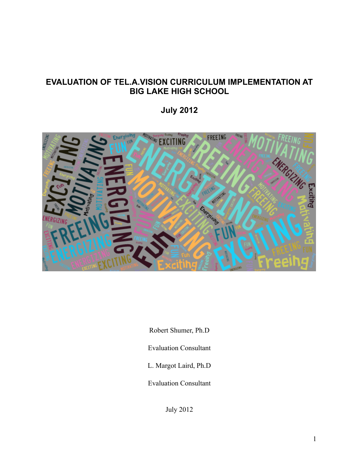# **EVALUATION OF TEL.A.VISION CURRICULUM IMPLEMENTATION AT BIG LAKE HIGH SCHOOL**

**July 2012**



Robert Shumer, Ph.D

Evaluation Consultant

L. Margot Laird, Ph.D

Evaluation Consultant

July 2012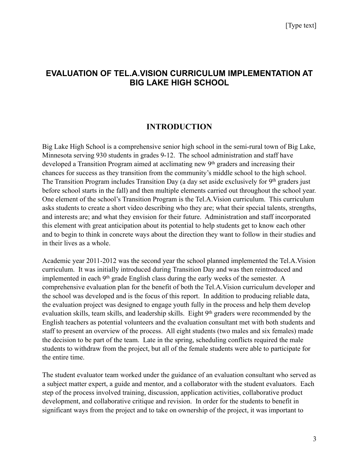# **EVALUATION OF TEL.A.VISION CURRICULUM IMPLEMENTATION AT BIG LAKE HIGH SCHOOL**

# **INTRODUCTION**

Big Lake High School is a comprehensive senior high school in the semi-rural town of Big Lake, Minnesota serving 930 students in grades 9-12. The school administration and staff have developed a Transition Program aimed at acclimating new 9th graders and increasing their chances for success as they transition from the community's middle school to the high school. The Transition Program includes Transition Day (a day set aside exclusively for 9th graders just before school starts in the fall) and then multiple elements carried out throughout the school year. One element of the school's Transition Program is the Tel.A.Vision curriculum. This curriculum asks students to create a short video describing who they are; what their special talents, strengths, and interests are; and what they envision for their future. Administration and staff incorporated this element with great anticipation about its potential to help students get to know each other and to begin to think in concrete ways about the direction they want to follow in their studies and in their lives as a whole.

Academic year 2011-2012 was the second year the school planned implemented the Tel.A.Vision curriculum. It was initially introduced during Transition Day and was then reintroduced and implemented in each 9th grade English class during the early weeks of the semester. A comprehensive evaluation plan for the benefit of both the Tel.A.Vision curriculum developer and the school was developed and is the focus of this report. In addition to producing reliable data, the evaluation project was designed to engage youth fully in the process and help them develop evaluation skills, team skills, and leadership skills. Eight 9<sup>th</sup> graders were recommended by the English teachers as potential volunteers and the evaluation consultant met with both students and staff to present an overview of the process. All eight students (two males and six females) made the decision to be part of the team. Late in the spring, scheduling conflicts required the male students to withdraw from the project, but all of the female students were able to participate for the entire time.

The student evaluator team worked under the guidance of an evaluation consultant who served as a subject matter expert, a guide and mentor, and a collaborator with the student evaluators. Each step of the process involved training, discussion, application activities, collaborative product development, and collaborative critique and revision. In order for the students to benefit in significant ways from the project and to take on ownership of the project, it was important to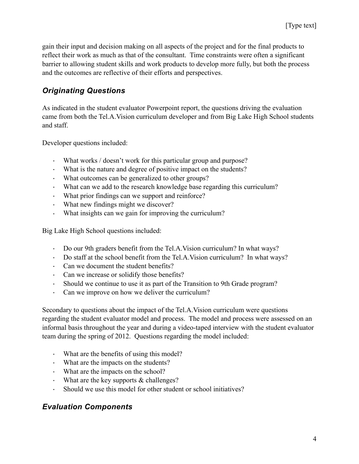gain their input and decision making on all aspects of the project and for the final products to reflect their work as much as that of the consultant. Time constraints were often a significant barrier to allowing student skills and work products to develop more fully, but both the process and the outcomes are reflective of their efforts and perspectives.

# *Originating Questions*

As indicated in the student evaluator Powerpoint report, the questions driving the evaluation came from both the Tel.A.Vision curriculum developer and from Big Lake High School students and staff.

Developer questions included:

- What works / doesn't work for this particular group and purpose?
- · What is the nature and degree of positive impact on the students?
- · What outcomes can be generalized to other groups?
- · What can we add to the research knowledge base regarding this curriculum?
- · What prior findings can we support and reinforce?
- · What new findings might we discover?
- · What insights can we gain for improving the curriculum?

Big Lake High School questions included:

- · Do our 9th graders benefit from the Tel.A.Vision curriculum? In what ways?
- · Do staff at the school benefit from the Tel.A.Vision curriculum? In what ways?
- · Can we document the student benefits?
- · Can we increase or solidify those benefits?
- · Should we continue to use it as part of the Transition to 9th Grade program?
- · Can we improve on how we deliver the curriculum?

Secondary to questions about the impact of the Tel.A.Vision curriculum were questions regarding the student evaluator model and process. The model and process were assessed on an informal basis throughout the year and during a video-taped interview with the student evaluator team during the spring of 2012. Questions regarding the model included:

- · What are the benefits of using this model?
- · What are the impacts on the students?
- · What are the impacts on the school?
- What are the key supports  $&$  challenges?
- · Should we use this model for other student or school initiatives?

# *Evaluation Components*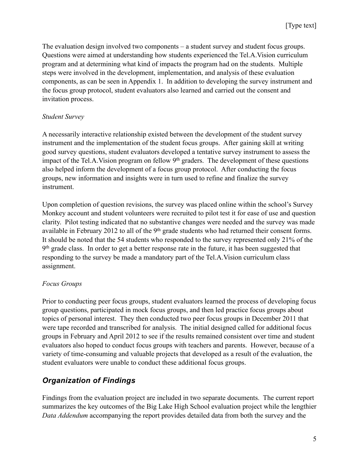The evaluation design involved two components – a student survey and student focus groups. Questions were aimed at understanding how students experienced the Tel.A.Vision curriculum program and at determining what kind of impacts the program had on the students. Multiple steps were involved in the development, implementation, and analysis of these evaluation components, as can be seen in Appendix 1. In addition to developing the survey instrument and the focus group protocol, student evaluators also learned and carried out the consent and invitation process.

### *Student Survey*

A necessarily interactive relationship existed between the development of the student survey instrument and the implementation of the student focus groups. After gaining skill at writing good survey questions, student evaluators developed a tentative survey instrument to assess the impact of the Tel.A.Vision program on fellow 9<sup>th</sup> graders. The development of these questions also helped inform the development of a focus group protocol. After conducting the focus groups, new information and insights were in turn used to refine and finalize the survey instrument.

Upon completion of question revisions, the survey was placed online within the school's Survey Monkey account and student volunteers were recruited to pilot test it for ease of use and question clarity. Pilot testing indicated that no substantive changes were needed and the survey was made available in February 2012 to all of the 9<sup>th</sup> grade students who had returned their consent forms. It should be noted that the 54 students who responded to the survey represented only 21% of the 9<sup>th</sup> grade class. In order to get a better response rate in the future, it has been suggested that responding to the survey be made a mandatory part of the Tel.A.Vision curriculum class assignment.

### *Focus Groups*

Prior to conducting peer focus groups, student evaluators learned the process of developing focus group questions, participated in mock focus groups, and then led practice focus groups about topics of personal interest. They then conducted two peer focus groups in December 2011 that were tape recorded and transcribed for analysis. The initial designed called for additional focus groups in February and April 2012 to see if the results remained consistent over time and student evaluators also hoped to conduct focus groups with teachers and parents. However, because of a variety of time-consuming and valuable projects that developed as a result of the evaluation, the student evaluators were unable to conduct these additional focus groups.

# *Organization of Findings*

Findings from the evaluation project are included in two separate documents. The current report summarizes the key outcomes of the Big Lake High School evaluation project while the lengthier *Data Addendum* accompanying the report provides detailed data from both the survey and the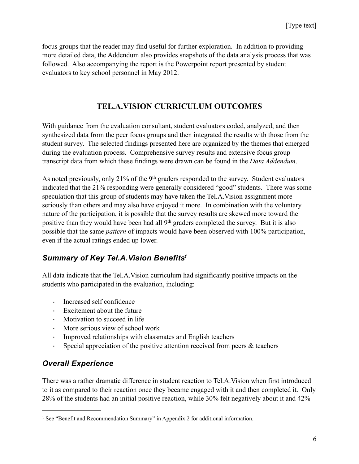focus groups that the reader may find useful for further exploration. In addition to providing more detailed data, the Addendum also provides snapshots of the data analysis process that was followed. Also accompanying the report is the Powerpoint report presented by student evaluators to key school personnel in May 2012.

### **TEL.A.VISION CURRICULUM OUTCOMES**

With guidance from the evaluation consultant, student evaluators coded, analyzed, and then synthesized data from the peer focus groups and then integrated the results with those from the student survey. The selected findings presented here are organized by the themes that emerged during the evaluation process. Comprehensive survey results and extensive focus group transcript data from which these findings were drawn can be found in the *Data Addendum*.

As noted previously, only 21% of the 9<sup>th</sup> graders responded to the survey. Student evaluators indicated that the 21% responding were generally considered "good" students. There was some speculation that this group of students may have taken the Tel.A.Vision assignment more seriously than others and may also have enjoyed it more. In combination with the voluntary nature of the participation, it is possible that the survey results are skewed more toward the positive than they would have been had all 9<sup>th</sup> graders completed the survey. But it is also possible that the same *pattern* of impacts would have been observed with 100% participation, even if the actual ratings ended up lower.

# *Summary of Key Tel.A.Vision Benefit[s1](#page-5-0)*

All data indicate that the Tel.A.Vision curriculum had significantly positive impacts on the students who participated in the evaluation, including:

- · Increased self confidence
- · Excitement about the future
- · Motivation to succeed in life
- · More serious view of school work
- Improved relationships with classmates and English teachers
- Special appreciation of the positive attention received from peers  $\&$  teachers

# *Overall Experience*

There was a rather dramatic difference in student reaction to Tel.A.Vision when first introduced to it as compared to their reaction once they became engaged with it and then completed it. Only 28% of the students had an initial positive reaction, while 30% felt negatively about it and 42%

<span id="page-5-0"></span><sup>&</sup>lt;sup>1</sup> See "Benefit and Recommendation Summary" in Appendix 2 for additional information.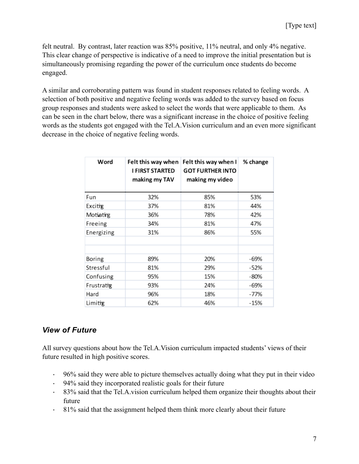felt neutral. By contrast, later reaction was 85% positive, 11% neutral, and only 4% negative. This clear change of perspective is indicative of a need to improve the initial presentation but is simultaneously promising regarding the power of the curriculum once students do become engaged.

A similar and corroborating pattern was found in student responses related to feeling words. A selection of both positive and negative feeling words was added to the survey based on focus group responses and students were asked to select the words that were applicable to them. As can be seen in the chart below, there was a significant increase in the choice of positive feeling words as the students got engaged with the Tel.A.Vision curriculum and an even more significant decrease in the choice of negative feeling words.

| Word       | Felt this way when<br>I FIRST STARTED<br>making my TAV | Felt this way when I<br><b>GOT FURTHER INTO</b><br>making my video | % change |
|------------|--------------------------------------------------------|--------------------------------------------------------------------|----------|
| Fun        | 32%                                                    | 85%                                                                | 53%      |
| Excitig    | 37%                                                    | 81%                                                                | 44%      |
| Motiating  | 36%                                                    | 78%                                                                | 42%      |
| Freeing    | 34%                                                    | 81%                                                                | 47%      |
| Energizing | 31%                                                    | 86%                                                                | 55%      |
|            |                                                        |                                                                    |          |
| Boring     | 89%                                                    | 20%                                                                | -69%     |
| Stressful  | 81%                                                    | 29%                                                                | $-52%$   |
| Confusing  | 95%                                                    | 15%                                                                | $-80%$   |
| Frustratig | 93%                                                    | 24%                                                                | $-69%$   |
| Hard       | 96%                                                    | 18%                                                                | $-77%$   |
| Limitig    | 62%                                                    | 46%                                                                | $-15%$   |

# *View of Future*

All survey questions about how the Tel.A.Vision curriculum impacted students' views of their future resulted in high positive scores.

- · 96% said they were able to picture themselves actually doing what they put in their video
- · 94% said they incorporated realistic goals for their future
- · 83% said that the Tel.A.vision curriculum helped them organize their thoughts about their future
- · 81% said that the assignment helped them think more clearly about their future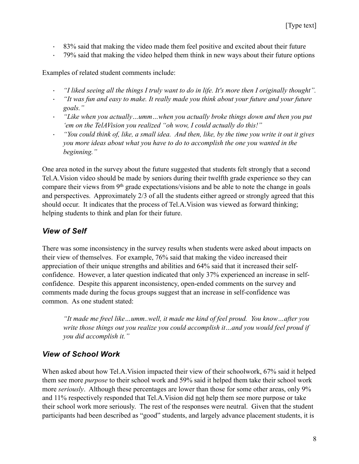- · 83% said that making the video made them feel positive and excited about their future
- · 79% said that making the video helped them think in new ways about their future options

Examples of related student comments include:

- · *"I liked seeing all the things I truly want to do in life. It's more then I originally thought".*
- · *"It was fun and easy to make. It really made you think about your future and your future goals."*
- · *"Like when you actually…umm…when you actually broke things down and then you put 'em on the TelAVision you realized "oh wow, I could actually do this!"*
- · *"You could think of, like, a small idea. And then, like, by the time you write it out it gives you more ideas about what you have to do to accomplish the one you wanted in the beginning."*

One area noted in the survey about the future suggested that students felt strongly that a second Tel.A.Vision video should be made by seniors during their twelfth grade experience so they can compare their views from 9<sup>th</sup> grade expectations/visions and be able to note the change in goals and perspectives. Approximately 2/3 of all the students either agreed or strongly agreed that this should occur. It indicates that the process of Tel.A.Vision was viewed as forward thinking; helping students to think and plan for their future.

# *View of Self*

There was some inconsistency in the survey results when students were asked about impacts on their view of themselves. For example, 76% said that making the video increased their appreciation of their unique strengths and abilities and 64% said that it increased their selfconfidence. However, a later question indicated that only 37% experienced an increase in selfconfidence. Despite this apparent inconsistency, open-ended comments on the survey and comments made during the focus groups suggest that an increase in self-confidence was common. As one student stated:

*"It made me freel like…umm..well, it made me kind of feel proud. You know…after you write those things out you realize you could accomplish it…and you would feel proud if you did accomplish it."*

# *View of School Work*

When asked about how Tel.A.Vision impacted their view of their schoolwork, 67% said it helped them see more *purpose* to their school work and 59% said it helped them take their school work more *seriously*. Although these percentages are lower than those for some other areas, only 9% and 11% respectively responded that Tel.A.Vision did not help them see more purpose or take their school work more seriously. The rest of the responses were neutral. Given that the student participants had been described as "good" students, and largely advance placement students, it is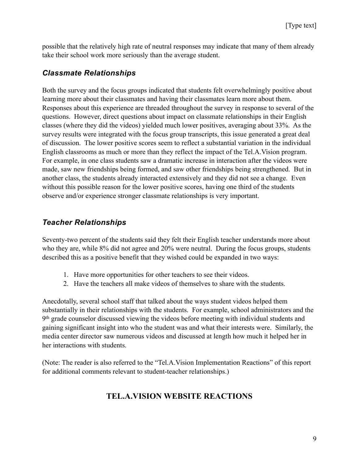possible that the relatively high rate of neutral responses may indicate that many of them already take their school work more seriously than the average student.

### *Classmate Relationships*

Both the survey and the focus groups indicated that students felt overwhelmingly positive about learning more about their classmates and having their classmates learn more about them. Responses about this experience are threaded throughout the survey in response to several of the questions. However, direct questions about impact on classmate relationships in their English classes (where they did the videos) yielded much lower positives, averaging about 33%. As the survey results were integrated with the focus group transcripts, this issue generated a great deal of discussion. The lower positive scores seem to reflect a substantial variation in the individual English classrooms as much or more than they reflect the impact of the Tel.A.Vision program. For example, in one class students saw a dramatic increase in interaction after the videos were made, saw new friendships being formed, and saw other friendships being strengthened. But in another class, the students already interacted extensively and they did not see a change. Even without this possible reason for the lower positive scores, having one third of the students observe and/or experience stronger classmate relationships is very important.

# *Teacher Relationships*

Seventy-two percent of the students said they felt their English teacher understands more about who they are, while 8% did not agree and 20% were neutral. During the focus groups, students described this as a positive benefit that they wished could be expanded in two ways:

- 1. Have more opportunities for other teachers to see their videos.
- 2. Have the teachers all make videos of themselves to share with the students.

Anecdotally, several school staff that talked about the ways student videos helped them substantially in their relationships with the students. For example, school administrators and the 9th grade counselor discussed viewing the videos before meeting with individual students and gaining significant insight into who the student was and what their interests were. Similarly, the media center director saw numerous videos and discussed at length how much it helped her in her interactions with students.

(Note: The reader is also referred to the "Tel.A.Vision Implementation Reactions" of this report for additional comments relevant to student-teacher relationships.)

# **TEL.A.VISION WEBSITE REACTIONS**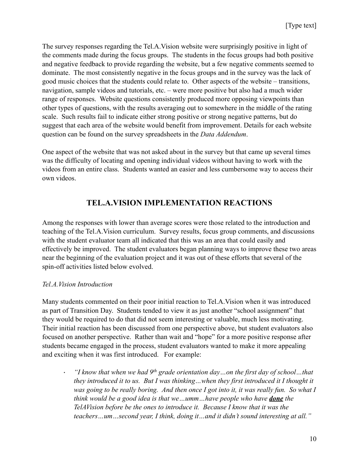The survey responses regarding the Tel.A.Vision website were surprisingly positive in light of the comments made during the focus groups. The students in the focus groups had both positive and negative feedback to provide regarding the website, but a few negative comments seemed to dominate. The most consistently negative in the focus groups and in the survey was the lack of good music choices that the students could relate to. Other aspects of the website – transitions, navigation, sample videos and tutorials, etc. – were more positive but also had a much wider range of responses. Website questions consistently produced more opposing viewpoints than other types of questions, with the results averaging out to somewhere in the middle of the rating scale. Such results fail to indicate either strong positive or strong negative patterns, but do suggest that each area of the website would benefit from improvement. Details for each website question can be found on the survey spreadsheets in the *Data Addendum*.

One aspect of the website that was not asked about in the survey but that came up several times was the difficulty of locating and opening individual videos without having to work with the videos from an entire class. Students wanted an easier and less cumbersome way to access their own videos.

### **TEL.A.VISION IMPLEMENTATION REACTIONS**

Among the responses with lower than average scores were those related to the introduction and teaching of the Tel.A.Vision curriculum. Survey results, focus group comments, and discussions with the student evaluator team all indicated that this was an area that could easily and effectively be improved. The student evaluators began planning ways to improve these two areas near the beginning of the evaluation project and it was out of these efforts that several of the spin-off activities listed below evolved.

#### *Tel.A.Vision Introduction*

Many students commented on their poor initial reaction to Tel.A.Vision when it was introduced as part of Transition Day. Students tended to view it as just another "school assignment" that they would be required to do that did not seem interesting or valuable, much less motivating. Their initial reaction has been discussed from one perspective above, but student evaluators also focused on another perspective. Rather than wait and "hope" for a more positive response after students became engaged in the process, student evaluators wanted to make it more appealing and exciting when it was first introduced. For example:

· *"I know that when we had 9th grade orientation day…on the first day of school…that they introduced it to us. But I was thinking…when they first introduced it I thought it was going to be really boring. And then once I got into it, it was really fun. So what I think would be a good idea is that we…umm…have people who have done the TelAVision before be the ones to introduce it. Because I know that it was the teachers…um…second year, I think, doing it…and it didn't sound interesting at all."*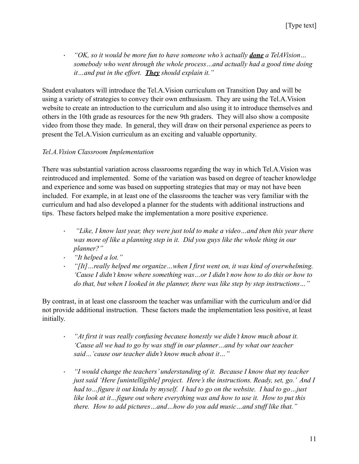· *"OK, so it would be more fun to have someone who's actually done a TelAVision… somebody who went through the whole process…and actually had a good time doing it…and put in the effort. They should explain it."*

Student evaluators will introduce the Tel.A.Vision curriculum on Transition Day and will be using a variety of strategies to convey their own enthusiasm. They are using the Tel.A.Vision website to create an introduction to the curriculum and also using it to introduce themselves and others in the 10th grade as resources for the new 9th graders. They will also show a composite video from those they made. In general, they will draw on their personal experience as peers to present the Tel.A.Vision curriculum as an exciting and valuable opportunity.

### *Tel.A.Vision Classroom Implementation*

There was substantial variation across classrooms regarding the way in which Tel.A.Vision was reintroduced and implemented. Some of the variation was based on degree of teacher knowledge and experience and some was based on supporting strategies that may or may not have been included. For example, in at least one of the classrooms the teacher was very familiar with the curriculum and had also developed a planner for the students with additional instructions and tips. These factors helped make the implementation a more positive experience.

- · *"Like, I know last year, they were just told to make a video…and then this year there was more of like a planning step in it. Did you guys like the whole thing in our planner?"*
- · *"It helped a lot."*
- · *"[It]…really helped me organize…when I first went on, it was kind of overwhelming. 'Cause I didn't know where something was…or I didn't now how to do this or how to do that, but when I looked in the planner, there was like step by step instructions…"*

By contrast, in at least one classroom the teacher was unfamiliar with the curriculum and/or did not provide additional instruction. These factors made the implementation less positive, at least initially.

- · *"At first it was really confusing because honestly we didn't know much about it. 'Cause all we had to go by was stuff in our planner…and by what our teacher said…'cause our teacher didn't know much about it…"*
- · *"I would change the teachers' understanding of it. Because I know that my teacher just said 'Here [unintelligible] project. Here's the instructions. Ready, set, go.' And I had to…figure it out kinda by myself. I had to go on the website. I had to go…just like look at it…figure out where everything was and how to use it. How to put this there. How to add pictures…and…how do you add music…and stuff like that."*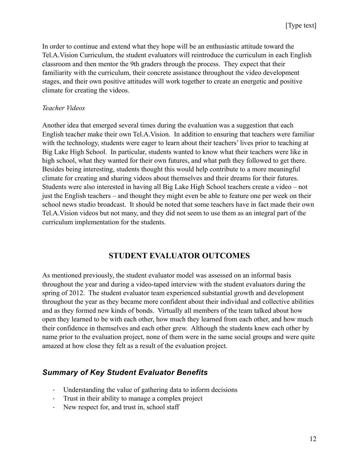In order to continue and extend what they hope will be an enthusiastic attitude toward the Tel.A.Vision Curriculum, the student evaluators will reintroduce the curriculum in each English classroom and then mentor the 9th graders through the process. They expect that their familiarity with the curriculum, their concrete assistance throughout the video development stages, and their own positive attitudes will work together to create an energetic and positive climate for creating the videos.

#### *Teacher Videos*

Another idea that emerged several times during the evaluation was a suggestion that each English teacher make their own Tel.A.Vision. In addition to ensuring that teachers were familiar with the technology, students were eager to learn about their teachers' lives prior to teaching at Big Lake High School. In particular, students wanted to know what their teachers were like in high school, what they wanted for their own futures, and what path they followed to get there. Besides being interesting, students thought this would help contribute to a more meaningful climate for creating and sharing videos about themselves and their dreams for their futures. Students were also interested in having all Big Lake High School teachers create a video – not just the English teachers – and thought they might even be able to feature one per week on their school news studio broadcast. It should be noted that some teachers have in fact made their own Tel.A.Vision videos but not many, and they did not seem to use them as an integral part of the curriculum implementation for the students.

### **STUDENT EVALUATOR OUTCOMES**

As mentioned previously, the student evaluator model was assessed on an informal basis throughout the year and during a video-taped interview with the student evaluators during the spring of 2012. The student evaluator team experienced substantial growth and development throughout the year as they became more confident about their individual and collective abilities and as they formed new kinds of bonds. Virtually all members of the team talked about how open they learned to be with each other, how much they learned from each other, and how much their confidence in themselves and each other grew. Although the students knew each other by name prior to the evaluation project, none of them were in the same social groups and were quite amazed at how close they felt as a result of the evaluation project.

### *Summary of Key Student Evaluator Benefits*

- · Understanding the value of gathering data to inform decisions
- · Trust in their ability to manage a complex project
- · New respect for, and trust in, school staff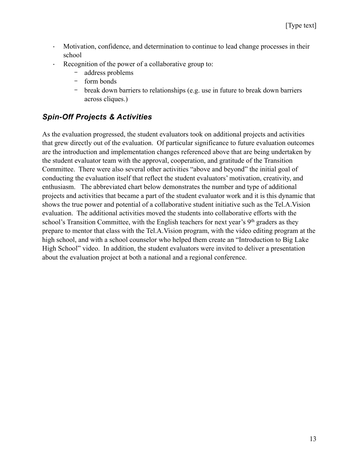- · Motivation, confidence, and determination to continue to lead change processes in their school
- Recognition of the power of a collaborative group to:
	- address problems
	- form bonds
	- break down barriers to relationships (e.g. use in future to break down barriers across cliques.)

# *Spin-Off Projects & Activities*

As the evaluation progressed, the student evaluators took on additional projects and activities that grew directly out of the evaluation. Of particular significance to future evaluation outcomes are the introduction and implementation changes referenced above that are being undertaken by the student evaluator team with the approval, cooperation, and gratitude of the Transition Committee. There were also several other activities "above and beyond" the initial goal of conducting the evaluation itself that reflect the student evaluators' motivation, creativity, and enthusiasm. The abbreviated chart below demonstrates the number and type of additional projects and activities that became a part of the student evaluator work and it is this dynamic that shows the true power and potential of a collaborative student initiative such as the Tel.A.Vision evaluation. The additional activities moved the students into collaborative efforts with the school's Transition Committee, with the English teachers for next year's 9<sup>th</sup> graders as they prepare to mentor that class with the Tel.A.Vision program, with the video editing program at the high school, and with a school counselor who helped them create an "Introduction to Big Lake High School" video. In addition, the student evaluators were invited to deliver a presentation about the evaluation project at both a national and a regional conference.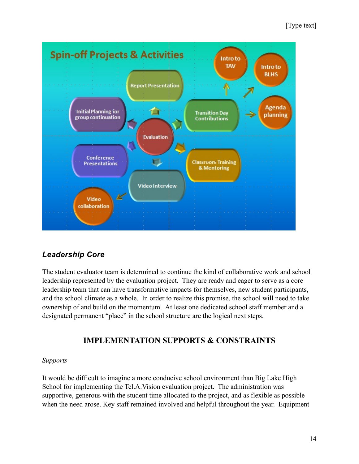### [Type text]



# *Leadership Core*

The student evaluator team is determined to continue the kind of collaborative work and school leadership represented by the evaluation project. They are ready and eager to serve as a core leadership team that can have transformative impacts for themselves, new student participants, and the school climate as a whole. In order to realize this promise, the school will need to take ownership of and build on the momentum. At least one dedicated school staff member and a designated permanent "place" in the school structure are the logical next steps.

# **IMPLEMENTATION SUPPORTS & CONSTRAINTS**

### *Supports*

It would be difficult to imagine a more conducive school environment than Big Lake High School for implementing the Tel.A.Vision evaluation project. The administration was supportive, generous with the student time allocated to the project, and as flexible as possible when the need arose. Key staff remained involved and helpful throughout the year. Equipment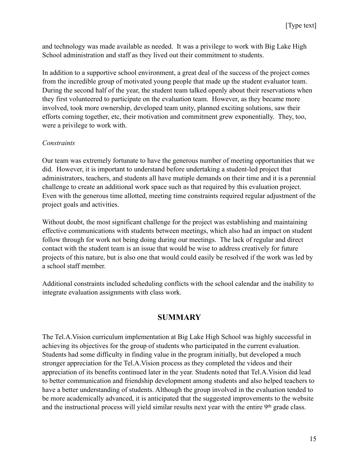and technology was made available as needed. It was a privilege to work with Big Lake High School administration and staff as they lived out their commitment to students.

In addition to a supportive school environment, a great deal of the success of the project comes from the incredible group of motivated young people that made up the student evaluator team. During the second half of the year, the student team talked openly about their reservations when they first volunteered to participate on the evaluation team. However, as they became more involved, took more ownership, developed team unity, planned exciting solutions, saw their efforts coming together, etc, their motivation and commitment grew exponentially. They, too, were a privilege to work with.

#### *Constraints*

Our team was extremely fortunate to have the generous number of meeting opportunities that we did. However, it is important to understand before undertaking a student-led project that administrators, teachers, and students all have mutiple demands on their time and it is a perennial challenge to create an additional work space such as that required by this evaluation project. Even with the generous time allotted, meeting time constraints required regular adjustment of the project goals and activities.

Without doubt, the most significant challenge for the project was establishing and maintaining effective communications with students between meetings, which also had an impact on student follow through for work not being doing during our meetings. The lack of regular and direct contact with the student team is an issue that would be wise to address creatively for future projects of this nature, but is also one that would could easily be resolved if the work was led by a school staff member.

Additional constraints included scheduling conflicts with the school calendar and the inability to integrate evaluation assignments with class work.

### **SUMMARY**

The Tel.A.Vision curriculum implementation at Big Lake High School was highly successful in achieving its objectives for the group of students who participated in the current evaluation. Students had some difficulty in finding value in the program initially, but developed a much stronger appreciation for the Tel.A.Vision process as they completed the videos and their appreciation of its benefits continued later in the year. Students noted that Tel.A.Vision did lead to better communication and friendship development among students and also helped teachers to have a better understanding of students. Although the group involved in the evaluation tended to be more academically advanced, it is anticipated that the suggested improvements to the website and the instructional process will yield similar results next year with the entire 9<sup>th</sup> grade class.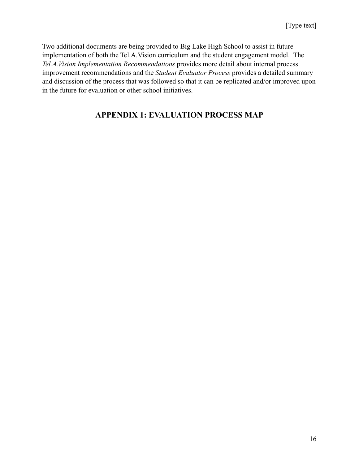Two additional documents are being provided to Big Lake High School to assist in future implementation of both the Tel.A.Vision curriculum and the student engagement model. The *Tel.A.Vision Implementation Recommendations* provides more detail about internal process improvement recommendations and the *Student Evaluator Process* provides a detailed summary and discussion of the process that was followed so that it can be replicated and/or improved upon in the future for evaluation or other school initiatives.

# **APPENDIX 1: EVALUATION PROCESS MAP**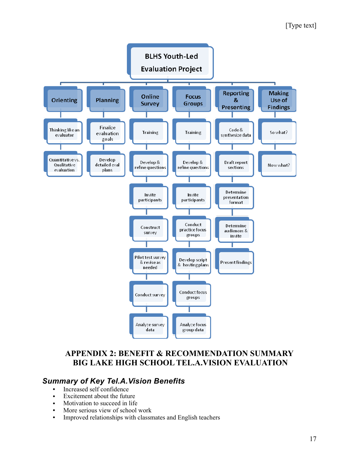### [Type text]



### **APPENDIX 2: BENEFIT & RECOMMENDATION SUMMARY BIG LAKE HIGH SCHOOL TEL.A.VISION EVALUATION**

### *Summary of Key Tel.A.Vision Benefits*

- Increased self confidence
- Excitement about the future
- Motivation to succeed in life
- More serious view of school work
- Improved relationships with classmates and English teachers